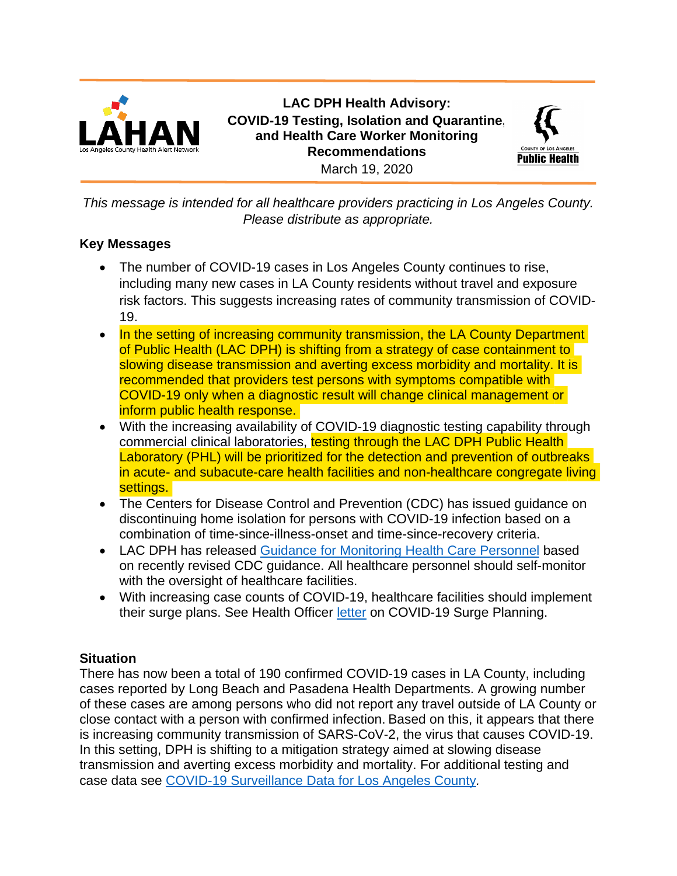

**LAC DPH Health Advisory: COVID-19 Testing, Isolation and Quarantine, and Health Care Worker Monitoring Recommendations** March 19, 2020



*This message is intended for all healthcare providers practicing in Los Angeles County. Please distribute as appropriate.*

# **Key Messages**

- The number of COVID-19 cases in Los Angeles County continues to rise, including many new cases in LA County residents without travel and exposure risk factors. This suggests increasing rates of community transmission of COVID-19.
- In the setting of increasing community transmission, the LA County Department of Public Health (LAC DPH) is shifting from a strategy of case containment to slowing disease transmission and averting excess morbidity and mortality. It is recommended that providers test persons with symptoms compatible with COVID-19 only when a diagnostic result will change clinical management or inform public health response.
- With the increasing availability of COVID-19 diagnostic testing capability through commercial clinical laboratories, testing through the LAC DPH Public Health Laboratory (PHL) will be prioritized for the detection and prevention of outbreaks in acute- and subacute-care health facilities and non-healthcare congregate living settings.
- The Centers for Disease Control and Prevention (CDC) has issued guidance on discontinuing home isolation for persons with COVID-19 infection based on a combination of time-since-illness-onset and time-since-recovery criteria.
- LAC DPH has released Guidance [for Monitoring Health Care Personnel](http://publichealth.lacounty.gov/acd/docs/HCWMonitoring.pdf) based on recently revised CDC guidance. All healthcare personnel should self-monitor with the oversight of healthcare facilities.
- With increasing case counts of COVID-19, healthcare facilities should implement their surge plans. See Health Officer [letter](http://publichealth.lacounty.gov/acd/docs/LetterToHospitalsCOVID19031720.pdf) on COVID-19 Surge Planning.

### **Situation**

There has now been a total of 190 confirmed COVID-19 cases in LA County, including cases reported by Long Beach and Pasadena Health Departments. A growing number of these cases are among persons who did not report any travel outside of LA County or close contact with a person with confirmed infection. Based on this, it appears that there is increasing community transmission of SARS-CoV-2, the virus that causes COVID-19. In this setting, DPH is shifting to a mitigation strategy aimed at slowing disease transmission and averting excess morbidity and mortality. For additional testing and case data see [COVID-19 Surveillance Data for Los Angeles County](http://publichealth.lacounty.gov/acd/docs/COVID19SurveillanceDataLAC.pdf)*.*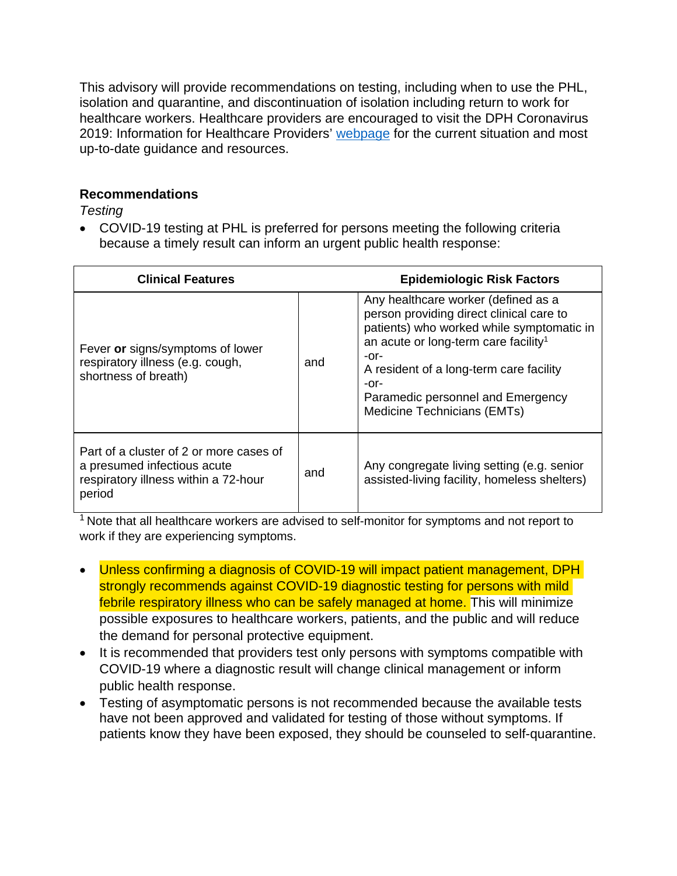This advisory will provide recommendations on testing, including when to use the PHL, isolation and quarantine, and discontinuation of isolation including return to work for healthcare workers. Healthcare providers are encouraged to visit the DPH Coronavirus 2019: Information for Healthcare Providers' [webpage](http://publichealth.lacounty.gov/acd/ncorona2019/) for the current situation and most up-to-date guidance and resources.

#### **Recommendations**

*Testing*

• COVID-19 testing at PHL is preferred for persons meeting the following criteria because a timely result can inform an urgent public health response:

| <b>Clinical Features</b>                                                                                                 |     | <b>Epidemiologic Risk Factors</b>                                                                                                                                                                                                                                                                                   |
|--------------------------------------------------------------------------------------------------------------------------|-----|---------------------------------------------------------------------------------------------------------------------------------------------------------------------------------------------------------------------------------------------------------------------------------------------------------------------|
| Fever or signs/symptoms of lower<br>respiratory illness (e.g. cough,<br>shortness of breath)                             | and | Any healthcare worker (defined as a<br>person providing direct clinical care to<br>patients) who worked while symptomatic in<br>an acute or long-term care facility <sup>1</sup><br>$-0r-$<br>A resident of a long-term care facility<br>$-0r-$<br>Paramedic personnel and Emergency<br>Medicine Technicians (EMTs) |
| Part of a cluster of 2 or more cases of<br>a presumed infectious acute<br>respiratory illness within a 72-hour<br>period | and | Any congregate living setting (e.g. senior<br>assisted-living facility, homeless shelters)                                                                                                                                                                                                                          |

 $1$  Note that all healthcare workers are advised to self-monitor for symptoms and not report to work if they are experiencing symptoms.

- Unless confirming a diagnosis of COVID-19 will impact patient management, DPH strongly recommends against COVID-19 diagnostic testing for persons with mild febrile respiratory illness who can be safely managed at home. This will minimize possible exposures to healthcare workers, patients, and the public and will reduce the demand for personal protective equipment.
- It is recommended that providers test only persons with symptoms compatible with COVID-19 where a diagnostic result will change clinical management or inform public health response.
- Testing of asymptomatic persons is not recommended because the available tests have not been approved and validated for testing of those without symptoms. If patients know they have been exposed, they should be counseled to self-quarantine.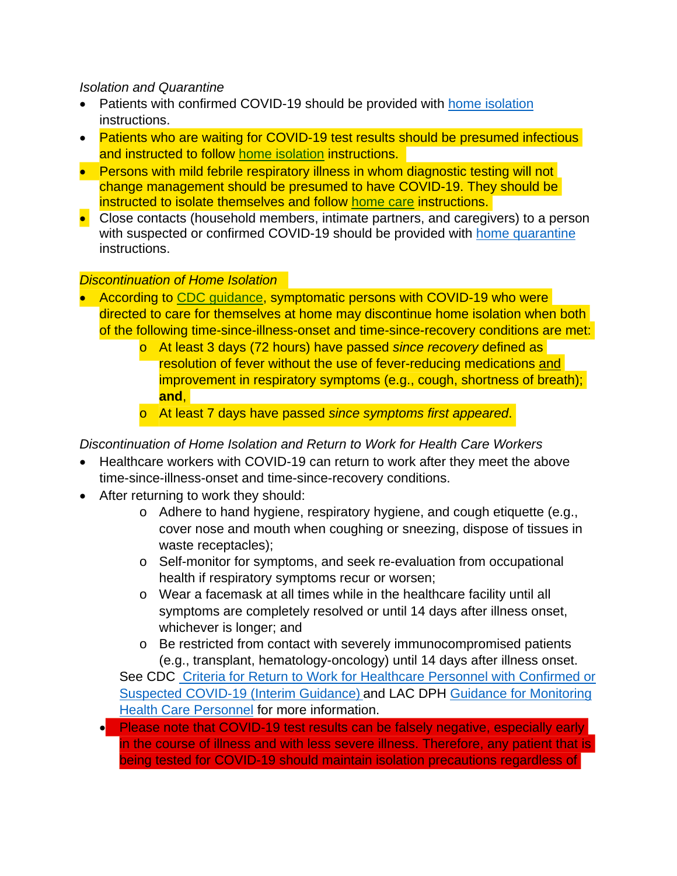### *Isolation and Quarantine*

- Patients with confirmed COVID-19 should be provided with [home isolation](http://publichealth.lacounty.gov/acd/docs/HomeisolationenCoV.pdf) instructions.
- Patients who are waiting for COVID-19 test results should be presumed infectious and instructed to follow [home isolation](http://publichealth.lacounty.gov/acd/docs/HomeisolationenCoV.pdf) instructions.
- Persons with mild febrile respiratory illness in whom diagnostic testing will not change management should be presumed to have COVID-19. They should be instructed to isolate themselves and follow [home care](http://publichealth.lacounty.gov/acd/docs/COVHomeCare.pdf) instructions.
- Close contacts (household members, intimate partners, and caregivers) to a person with suspected or confirmed COVID-19 should be provided with [home quarantine](http://publichealth.lacounty.gov/acd/docs/COVHomeQuarantine.pdf) instructions.

# *Discontinuation of Home Isolation*

- According to [CDC guidance,](https://www.cdc.gov/coronavirus/2019-ncov/hcp/disposition-in-home-patients.html) symptomatic persons with COVID-19 who were directed to care for themselves at home may discontinue home isolation when both of the following time-since-illness-onset and time-since-recovery conditions are met:
	- o At least 3 days (72 hours) have passed *since recovery* defined as resolution of fever without the use of fever-reducing medications and improvement in respiratory symptoms (e.g., cough, shortness of breath); **and**,
	- o At least 7 days have passed *since symptoms first appeared*.

# *Discontinuation of Home Isolation and Return to Work for Health Care Workers*

- Healthcare workers with COVID-19 can return to work after they meet the above time-since-illness-onset and time-since-recovery conditions.
- After returning to work they should:
	- o Adhere to hand hygiene, respiratory hygiene, and cough etiquette (e.g., cover nose and mouth when coughing or sneezing, dispose of tissues in waste receptacles);
	- o Self-monitor for symptoms, and seek re-evaluation from occupational health if respiratory symptoms recur or worsen;
	- o Wear a facemask at all times while in the healthcare facility until all symptoms are completely resolved or until 14 days after illness onset, whichever is longer; and
	- o Be restricted from contact with severely immunocompromised patients (e.g., transplant, hematology-oncology) until 14 days after illness onset.

See CDC [Criteria for Return to Work for Healthcare Personnel with Confirmed or](https://www.cdc.gov/coronavirus/2019-ncov/healthcare-facilities/hcp-return-work.html) [Suspected COVID-19 \(Interim Guidance\)](https://www.cdc.gov/coronavirus/2019-ncov/healthcare-facilities/hcp-return-work.html) and LAC DPH [Guidance for Monitoring](http://publichealth.lacounty.gov/acd/docs/HCWMonitoring.pdf)  **[Health Care Personnel](http://publichealth.lacounty.gov/acd/docs/HCWMonitoring.pdf) for more information.** 

• Please note that COVID-19 test results can be falsely negative, especially early in the course of illness and with less severe illness. Therefore, any patient that is being tested for COVID-19 should maintain isolation precautions regardless of